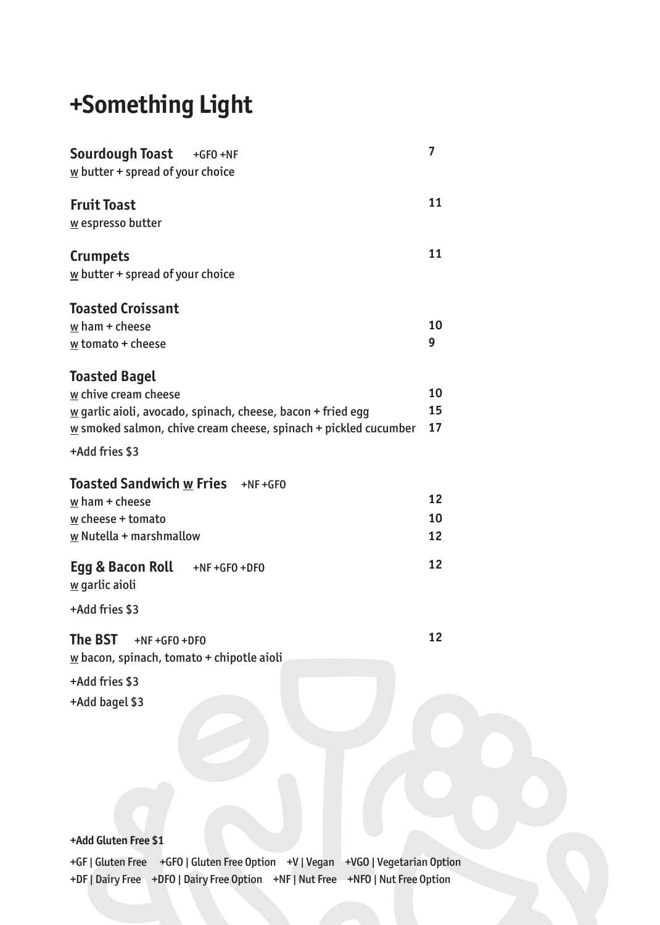# **+Something Light**

| Sourdough Toast<br>$+GFO +NF$<br>$\underline{w}$ butter + spread of your choice                                                                                                                                              | 7              |
|------------------------------------------------------------------------------------------------------------------------------------------------------------------------------------------------------------------------------|----------------|
| <b>Fruit Toast</b><br>w espresso butter                                                                                                                                                                                      | 11             |
| <b>Crumpets</b><br>$\underline{w}$ butter + spread of your choice                                                                                                                                                            | 11             |
| <b>Toasted Croissant</b><br>$w$ ham $+$ cheese<br>$\underline{w}$ tomato + cheese                                                                                                                                            | 10<br>9        |
| <b>Toasted Bagel</b><br>w chive cream cheese<br>$\underline{w}$ garlic aioli, avocado, spinach, cheese, bacon + fried egg<br>$\underline{w}$ smoked salmon, chive cream cheese, spinach + pickled cucumber<br>+Add fries \$3 | 10<br>15<br>17 |
| <b>Toasted Sandwich w Fries</b> +NF+GF0<br>$w$ ham + cheese<br>$w$ cheese + tomato<br>$\underline{w}$ Nutella + marshmallow                                                                                                  | 12<br>10<br>12 |
| Egg & Bacon Roll $+NF+GFO+DFO$<br>$\underline{w}$ garlic aioli<br>+Add fries \$3                                                                                                                                             | 12             |
| The BST<br>$+NF + GFO + DFO$<br>$\underline{w}$ bacon, spinach, tomato + chipotle aioli<br>+Add fries \$3<br>+Add bagel \$3                                                                                                  | 12             |
| +Add Gluten Free \$1                                                                                                                                                                                                         |                |
| +GEI Gluten Free +GEO LGluten Free Ontion +VI Vegan +VGO LVegetarian Onti                                                                                                                                                    |                |

+GF | Gluten Free +GFO | Gluten Free Option +V | Vegan +VGO | Vegetarian Option +DF | Dairy Free +DFO | Dairy Free Option +NF | Nut Free +NFO | Nut Free Option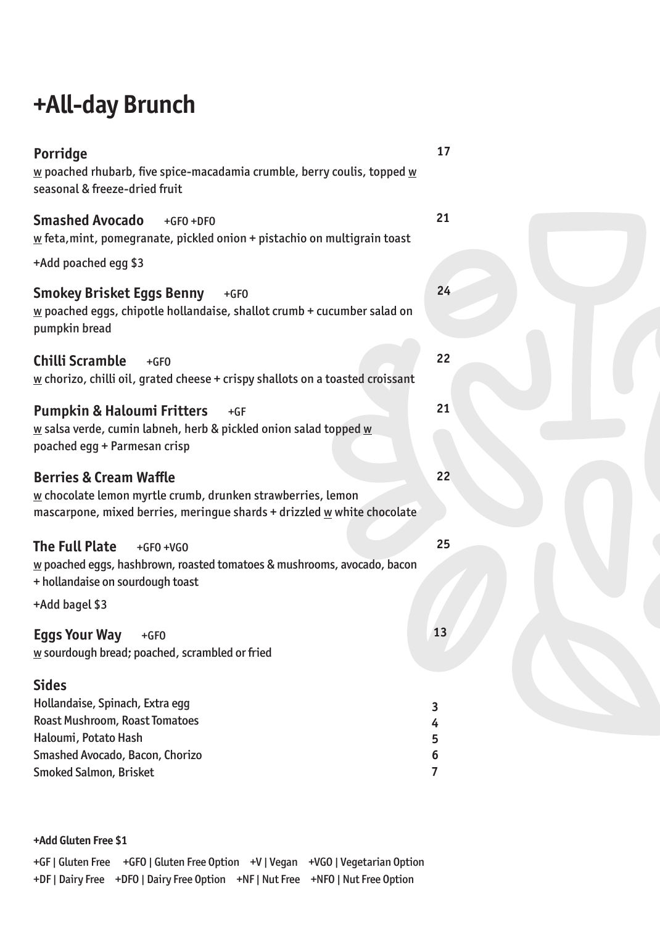# **+All-day Brunch**

| <b>Porridge</b><br>$\underline{\mathsf{w}}$ poached rhubarb, five spice-macadamia crumble, berry coulis, topped $\underline{\mathsf{w}}$<br>seasonal & freeze-dried fruit                        | 17        |
|--------------------------------------------------------------------------------------------------------------------------------------------------------------------------------------------------|-----------|
| <b>Smashed Avocado</b><br>$+GFO +DFO$<br>$\underline{w}$ feta, mint, pomegranate, pickled onion + pistachio on multigrain toast                                                                  | 21        |
| +Add poached egg \$3                                                                                                                                                                             |           |
| Smokey Brisket Eggs Benny<br>$+GFO$<br>$\underline{w}$ poached eggs, chipotle hollandaise, shallot crumb + cucumber salad on<br>pumpkin bread                                                    | 24        |
| Chilli Scramble<br>$+GFO$<br>$\underline{w}$ chorizo, chilli oil, grated cheese + crispy shallots on a toasted croissant                                                                         | 22        |
| <b>Pumpkin &amp; Haloumi Fritters</b><br>$+GF$<br>$\underline{\mathsf{w}}$ salsa verde, cumin labneh, herb & pickled onion salad topped $\underline{\mathsf{w}}$<br>poached egg + Parmesan crisp | 21        |
| <b>Berries &amp; Cream Waffle</b><br><u>w</u> chocolate lemon myrtle crumb, drunken strawberries, lemon<br>mascarpone, mixed berries, meringue shards + drizzled w white chocolate               | 22        |
| The Full Plate<br>$+GFO +VGO$<br>w poached eggs, hashbrown, roasted tomatoes & mushrooms, avocado, bacon<br>+ hollandaise on sourdough toast                                                     | 25        |
| +Add bagel \$3                                                                                                                                                                                   |           |
| <b>Eggs Your Way</b><br>$+GFO$<br>w sourdough bread; poached, scrambled or fried                                                                                                                 | <b>13</b> |
| Sides                                                                                                                                                                                            |           |
| Hollandaise, Spinach, Extra egg                                                                                                                                                                  | 3         |
| Roast Mushroom, Roast Tomatoes                                                                                                                                                                   | 4         |
| Haloumi, Potato Hash                                                                                                                                                                             | 5         |
| Smashed Avocado, Bacon, Chorizo<br><b>Smoked Salmon, Brisket</b>                                                                                                                                 | 6<br>7    |

#### **+Add Gluten Free \$1**

|                                                                                 | +GF   Gluten Free +GFO   Gluten Free Option +V   Vegan +VGO   Vegetarian Option |
|---------------------------------------------------------------------------------|---------------------------------------------------------------------------------|
| +DF   Dairy Free +DFO   Dairy Free Option +NF   Nut Free +NFO   Nut Free Option |                                                                                 |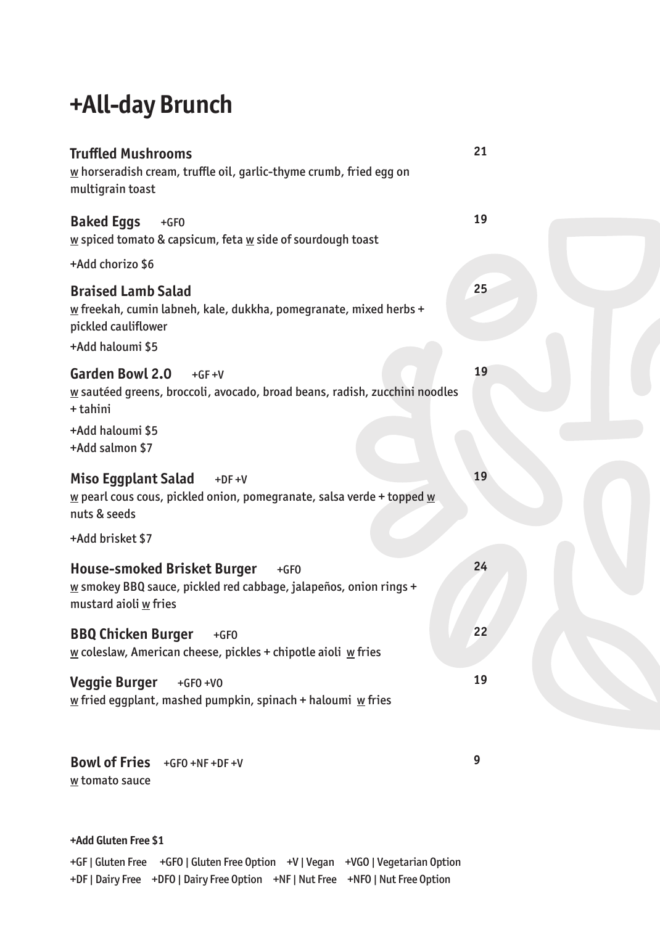# **+All-day Brunch**

| <b>Truffled Mushrooms</b><br>$\underline{w}$ horseradish cream, truffle oil, garlic-thyme crumb, fried egg on<br>multigrain toast                           | 21 |
|-------------------------------------------------------------------------------------------------------------------------------------------------------------|----|
| <b>Baked Eggs</b><br>$+GFO$<br>$\underline{w}$ spiced tomato & capsicum, feta $\underline{w}$ side of sourdough toast                                       | 19 |
| +Add chorizo \$6                                                                                                                                            |    |
| <b>Braised Lamb Salad</b><br>w freekah, cumin labneh, kale, dukkha, pomegranate, mixed herbs +<br>pickled cauliflower<br>+Add haloumi \$5                   | 25 |
| <b>Garden Bowl 2.0</b><br>$+GF+V$<br>w sautéed greens, broccoli, avocado, broad beans, radish, zucchini noodles<br>+ tahini                                 | 19 |
| +Add haloumi \$5<br>+Add salmon \$7                                                                                                                         |    |
| <b>Miso Eggplant Salad</b><br>$+DF +V$<br>$\underline{w}$ pearl cous cous, pickled onion, pomegranate, salsa verde + topped $\underline{w}$<br>nuts & seeds | 19 |
| +Add brisket \$7                                                                                                                                            |    |
| <b>House-smoked Brisket Burger</b><br>$+GFO$<br>$\underline{w}$ smokey BBQ sauce, pickled red cabbage, jalapeños, onion rings +<br>mustard aioli w fries    | 24 |
| <b>BBQ Chicken Burger</b><br>$+GFO$<br>$\underline{w}$ coleslaw, American cheese, pickles + chipotle aioli $\underline{w}$ fries                            | 22 |
| <b>Veggie Burger</b><br>$+GFO +VO$<br>$\underline{w}$ fried eggplant, mashed pumpkin, spinach + haloumi $\underline{w}$ fries                               | 19 |
| <b>Bowl of Fries</b><br>$+GFO +NF +DF +V$<br>w tomato sauce                                                                                                 | 9  |

#### **+Add Gluten Free \$1**

+GF | Gluten Free +GFO | Gluten Free Option +V | Vegan +VGO | Vegetarian Option +DF | Dairy Free +DFO | Dairy Free Option +NF | Nut Free +NFO | Nut Free Option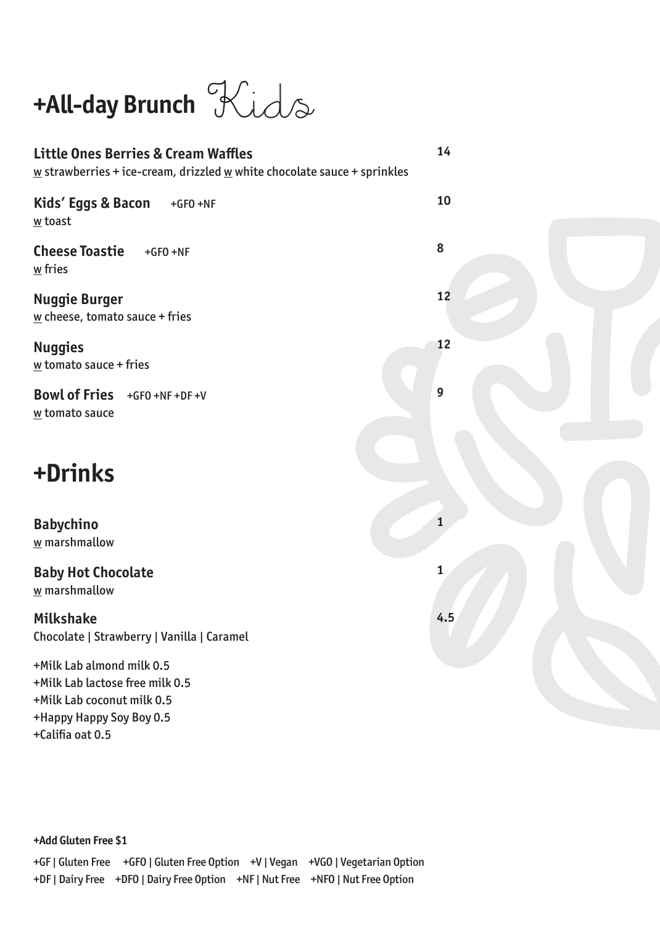# **+All-day Brunch** Kids

| <b>Little Ones Berries &amp; Cream Waffles</b><br>$\underline{w}$ strawberries + ice-cream, drizzled $\underline{w}$ white chocolate sauce + sprinkles | 14           |
|--------------------------------------------------------------------------------------------------------------------------------------------------------|--------------|
| Kids' Eggs & Bacon<br>$+GFO +NF$<br>w toast                                                                                                            | 10           |
| <b>Cheese Toastie</b><br>$+GFO +NF$<br>$\underline{w}$ fries                                                                                           | 8            |
| <b>Nuggie Burger</b><br>$\underline{w}$ cheese, tomato sauce + fries                                                                                   | 12           |
| <b>Nuggies</b><br>$\underline{w}$ tomato sauce + fries                                                                                                 | 12           |
| Bowl of Fries +GF0 +NF +DF +V<br>w tomato sauce                                                                                                        | 9            |
| +Drinks                                                                                                                                                |              |
| <b>Babychino</b><br>w marshmallow                                                                                                                      |              |
| <b>Baby Hot Chocolate</b><br>w marshmallow                                                                                                             | $\mathbf{1}$ |
| Milkshake<br>Chocolate   Strawberry   Vanilla   Caramel                                                                                                | 4.5          |
| +Milk Lab almond milk 0.5<br>+Milk Lab lactose free milk 0.5<br>+Milk Lab coconut milk 0.5<br>+Happy Happy Soy Boy 0.5                                 |              |

+Califia oat 0.5

**+Add Gluten Free \$1**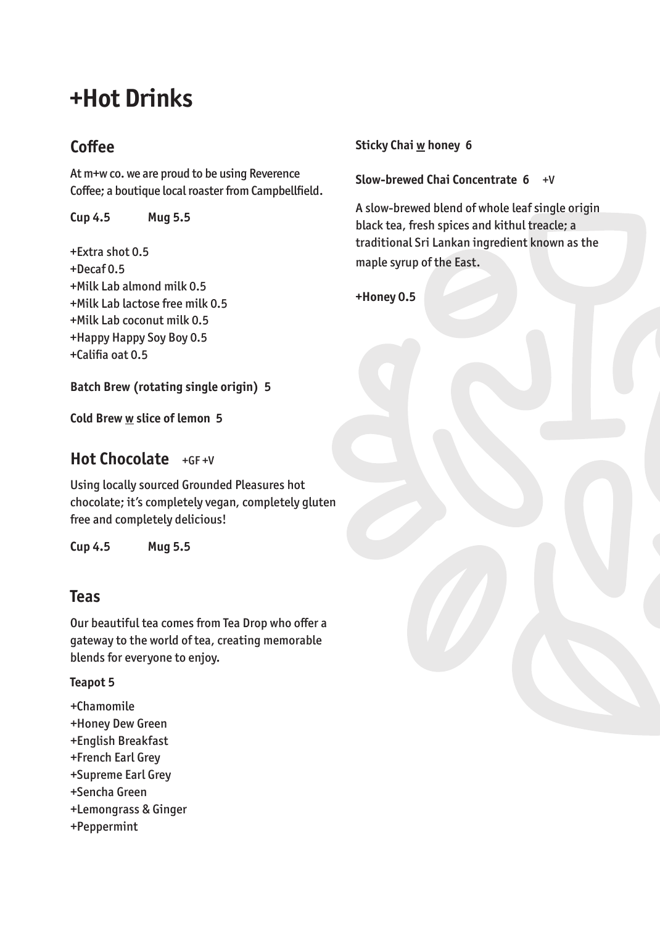# **+Hot Drinks**

## **Coffee**

At m+w co. we are proud to be using Reverence Coffee; a boutique local roaster from Campbellfield.

**Cup 4.5 Mug 5.5**

+Extra shot 0.5 +Decaf 0.5 +Milk Lab almond milk 0.5 +Milk Lab lactose free milk 0.5 +Milk Lab coconut milk 0.5 +Happy Happy Soy Boy 0.5 +Califia oat 0.5

**Batch Brew (rotating single origin) 5**

**Cold Brew w slice of lemon 5**

## **Hot Chocolate** +GF +V

Using locally sourced Grounded Pleasures hot chocolate; it's completely vegan, completely gluten free and completely delicious!

**Cup 4.5 Mug 5.5**

## **Teas**

Our beautiful tea comes from Tea Drop who offer a gateway to the world of tea, creating memorable blends for everyone to enjoy.

**Teapot 5**

- +Chamomile
- +Honey Dew Green
- +English Breakfast
- +French Earl Grey
- +Supreme Earl Grey
- +Sencha Green
- +Lemongrass & Ginger
- +Peppermint

#### **Sticky Chai w honey 6**

#### **Slow-brewed Chai Concentrate 6** +V

A slow-brewed blend of whole leaf single origin black tea, fresh spices and kithul treacle; a traditional Sri Lankan ingredient known as the maple syrup of the East.

**+Honey 0.5**